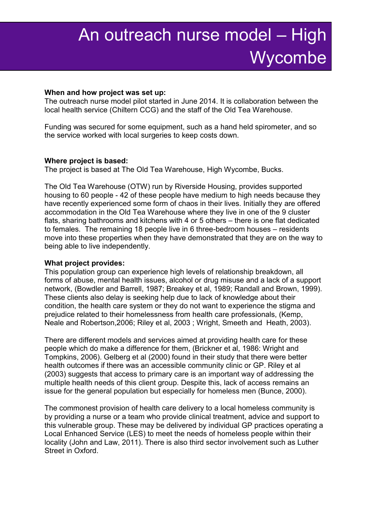#### **When and how project was set up:**

The outreach nurse model pilot started in June 2014. It is collaboration between the local health service (Chiltern CCG) and the staff of the Old Tea Warehouse.

Funding was secured for some equipment, such as a hand held spirometer, and so the service worked with local surgeries to keep costs down.

#### **Where project is based:**

The project is based at The Old Tea Warehouse, High Wycombe, Bucks.

The Old Tea Warehouse (OTW) run by Riverside Housing, provides supported housing to 60 people - 42 of these people have medium to high needs because they have recently experienced some form of chaos in their lives. Initially they are offered accommodation in the Old Tea Warehouse where they live in one of the 9 cluster flats, sharing bathrooms and kitchens with 4 or 5 others – there is one flat dedicated to females. The remaining 18 people live in 6 three-bedroom houses – residents move into these properties when they have demonstrated that they are on the way to being able to live independently.

#### **What project provides:**

This population group can experience high levels of relationship breakdown, all forms of abuse, mental health issues, alcohol or drug misuse and a lack of a support network, (Bowdler and Barrell, 1987; Breakey et al, 1989; Randall and Brown, 1999). These clients also delay is seeking help due to lack of knowledge about their condition, the health care system or they do not want to experience the stigma and prejudice related to their homelessness from health care professionals, (Kemp, Neale and Robertson,2006; Riley et al, 2003 ; Wright, Smeeth and Heath, 2003).

There are different models and services aimed at providing health care for these people which do make a difference for them, (Brickner et al, 1986: Wright and Tompkins, 2006). Gelberg et al (2000) found in their study that there were better health outcomes if there was an accessible community clinic or GP. Riley et al (2003) suggests that access to primary care is an important way of addressing the multiple health needs of this client group. Despite this, lack of access remains an issue for the general population but especially for homeless men (Bunce, 2000).

The commonest provision of health care delivery to a local homeless community is by providing a nurse or a team who provide clinical treatment, advice and support to this vulnerable group. These may be delivered by individual GP practices operating a Local Enhanced Service (LES) to meet the needs of homeless people within their locality (John and Law, 2011). There is also third sector involvement such as Luther Street in Oxford.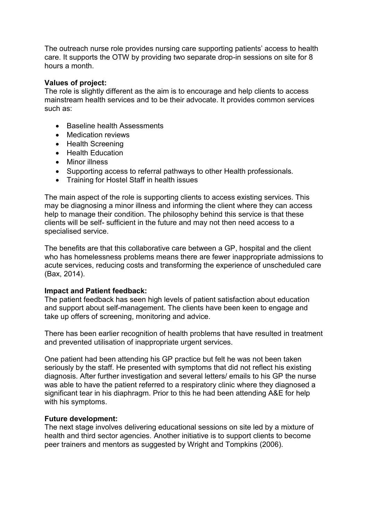The outreach nurse role provides nursing care supporting patients' access to health care. It supports the OTW by providing two separate drop-in sessions on site for 8 hours a month.

### **Values of project:**

The role is slightly different as the aim is to encourage and help clients to access mainstream health services and to be their advocate. It provides common services such as:

- Baseline health Assessments
- Medication reviews
- Health Screening
- Health Education
- Minor illness
- Supporting access to referral pathways to other Health professionals.
- Training for Hostel Staff in health issues

The main aspect of the role is supporting clients to access existing services. This may be diagnosing a minor illness and informing the client where they can access help to manage their condition. The philosophy behind this service is that these clients will be self- sufficient in the future and may not then need access to a specialised service.

The benefits are that this collaborative care between a GP, hospital and the client who has homelessness problems means there are fewer inappropriate admissions to acute services, reducing costs and transforming the experience of unscheduled care (Bax, 2014).

#### **Impact and Patient feedback:**

The patient feedback has seen high levels of patient satisfaction about education and support about self-management. The clients have been keen to engage and take up offers of screening, monitoring and advice.

There has been earlier recognition of health problems that have resulted in treatment and prevented utilisation of inappropriate urgent services.

One patient had been attending his GP practice but felt he was not been taken seriously by the staff. He presented with symptoms that did not reflect his existing diagnosis. After further investigation and several letters/ emails to his GP the nurse was able to have the patient referred to a respiratory clinic where they diagnosed a significant tear in his diaphragm. Prior to this he had been attending A&E for help with his symptoms.

#### **Future development:**

The next stage involves delivering educational sessions on site led by a mixture of health and third sector agencies. Another initiative is to support clients to become peer trainers and mentors as suggested by Wright and Tompkins (2006).